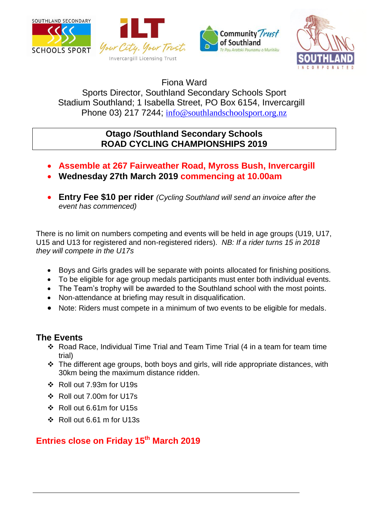







Fiona Ward

Sports Director, Southland Secondary Schools Sport Stadium Southland; 1 Isabella Street, PO Box 6154, Invercargill Phone 03) 217 7244; [info@southlandschoolsport.org.nz](mailto:info@southlandschoolsport.org.nz)

## **Otago /Southland Secondary Schools ROAD CYCLING CHAMPIONSHIPS 2019**

- **Assemble at 267 Fairweather Road, Myross Bush, Invercargill**
- **Wednesday 27th March 2019 commencing at 10.00am**
- **Entry Fee \$10 per rider** *(Cycling Southland will send an invoice after the event has commenced)*

There is no limit on numbers competing and events will be held in age groups (U19, U17, U15 and U13 for registered and non-registered riders). *NB: If a rider turns 15 in 2018 they will compete in the U17s*

- Boys and Girls grades will be separate with points allocated for finishing positions.
- To be eligible for age group medals participants must enter both individual events.
- The Team's trophy will be awarded to the Southland school with the most points.
- Non-attendance at briefing may result in disqualification.
- Note: Riders must compete in a minimum of two events to be eligible for medals.

## **The Events**

- Road Race, Individual Time Trial and Team Time Trial (4 in a team for team time trial)
- \* The different age groups, both boys and girls, will ride appropriate distances, with 30km being the maximum distance ridden.
- Roll out 7.93m for U19s
- Roll out 7.00m for U17s
- Roll out 6.61m for U15s
- Roll out 6.61 m for U13s

## **Entries close on Friday 15 th March 2019**